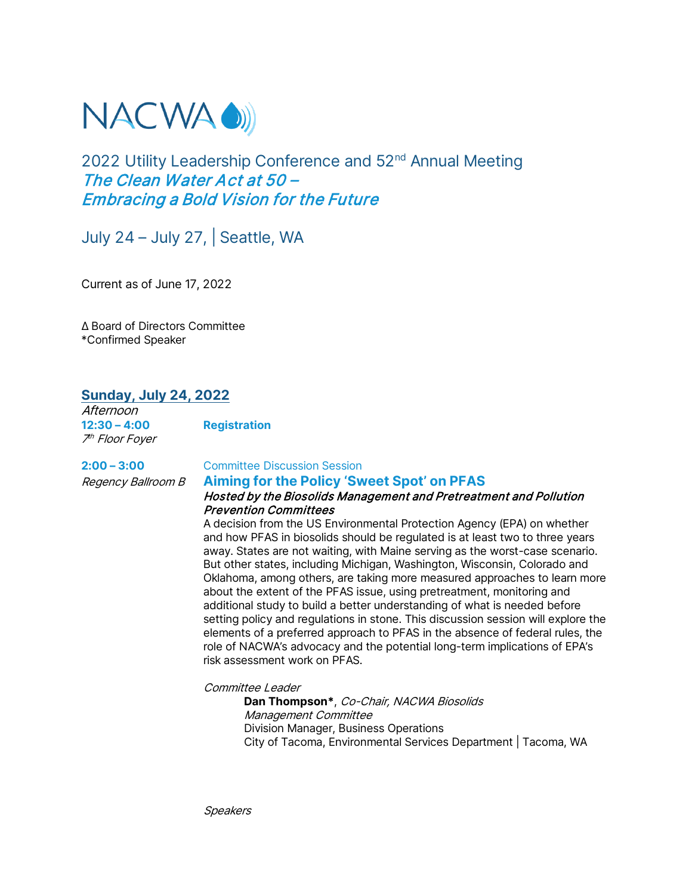

## 2022 Utility Leadership Conference and 52<sup>nd</sup> Annual Meeting The Clean Water Act at 50 – Embracing a Bold Vision for the Future

July 24 – July 27, | Seattle, WA

Current as of June 17, 2022

Δ Board of Directors Committee \*Confirmed Speaker

## **Sunday, July 24, 2022**

Afternoon **12:30 – 4:00 Registration** 7th Floor Foyer

## **2:00 – 3:00** Committee Discussion Session

## Regency Ballroom B **Aiming for the Policy 'Sweet Spot' on PFAS** Hosted by the Biosolids Management and Pretreatment and Pollution Prevention Committees

A decision from the US Environmental Protection Agency (EPA) on whether and how PFAS in biosolids should be regulated is at least two to three years away. States are not waiting, with Maine serving as the worst-case scenario. But other states, including Michigan, Washington, Wisconsin, Colorado and Oklahoma, among others, are taking more measured approaches to learn more about the extent of the PFAS issue, using pretreatment, monitoring and additional study to build a better understanding of what is needed before setting policy and regulations in stone. This discussion session will explore the elements of a preferred approach to PFAS in the absence of federal rules, the role of NACWA's advocacy and the potential long-term implications of EPA's risk assessment work on PFAS.

Committee Leader

**Dan Thompson\***, Co-Chair, NACWA Biosolids Management Committee Division Manager, Business Operations City of Tacoma, Environmental Services Department | Tacoma, WA

**Speakers**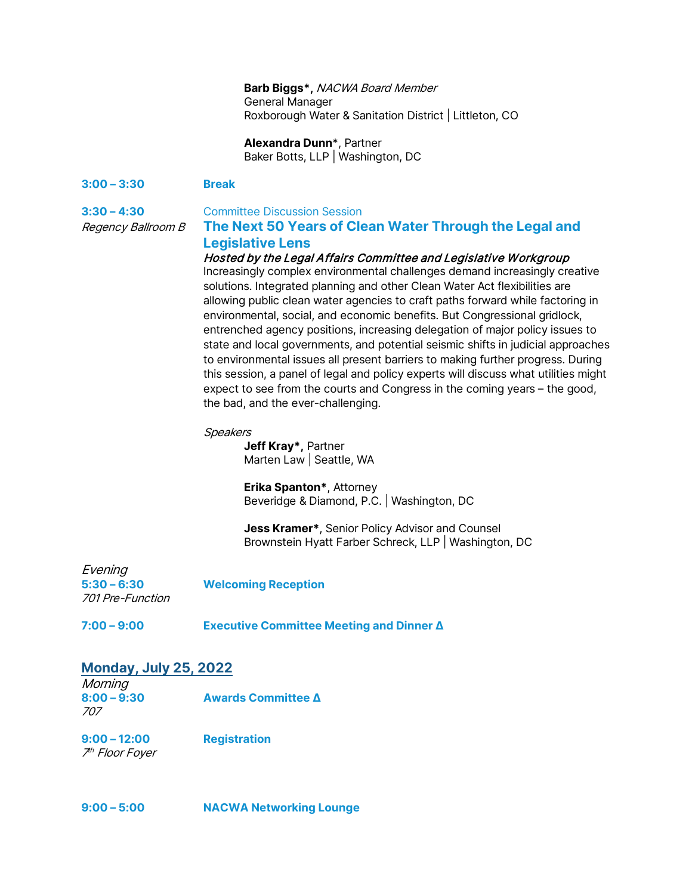## **Barb Biggs\*,** NACWA Board Member General Manager Roxborough Water & Sanitation District | Littleton, CO

**Alexandra Dunn**\*, Partner Baker Botts, LLP | Washington, DC

## **3:00 – 3:30 Break**

### **3:30 – 4:30** Committee Discussion Session

Regency Ballroom B **The Next 50 Years of Clean Water Through the Legal and Legislative Lens**

## Hosted by the Legal Affairs Committee and Legislative Workgroup

Increasingly complex environmental challenges demand increasingly creative solutions. Integrated planning and other Clean Water Act flexibilities are allowing public clean water agencies to craft paths forward while factoring in environmental, social, and economic benefits. But Congressional gridlock, entrenched agency positions, increasing delegation of major policy issues to state and local governments, and potential seismic shifts in judicial approaches to environmental issues all present barriers to making further progress. During this session, a panel of legal and policy experts will discuss what utilities might expect to see from the courts and Congress in the coming years – the good, the bad, and the ever-challenging.

#### Speakers

**Jeff Kray\*,** Partner Marten Law | Seattle, WA

**Erika Spanton\***, Attorney Beveridge & Diamond, P.C. | Washington, DC

**Jess Kramer\***, Senior Policy Advisor and Counsel Brownstein Hyatt Farber Schreck, LLP | Washington, DC

| Evening<br>$5:30 - 6:30$<br><i>701 Pre-Function</i> | <b>Welcoming Reception</b> |
|-----------------------------------------------------|----------------------------|
|-----------------------------------------------------|----------------------------|

**7:00 – 9:00 Executive Committee Meeting and Dinner Δ**

## **Monday, July 25, 2022**

| Morning       |                                             |
|---------------|---------------------------------------------|
| $8:00 - 9:30$ | <b>Awards Committee <math>\Delta</math></b> |
| 707           |                                             |

**9:00 – 12:00 Registration** 7th Floor Foyer

| $9:00 - 5:00$ | <b>NACWA Networking Lounge</b> |
|---------------|--------------------------------|
|               |                                |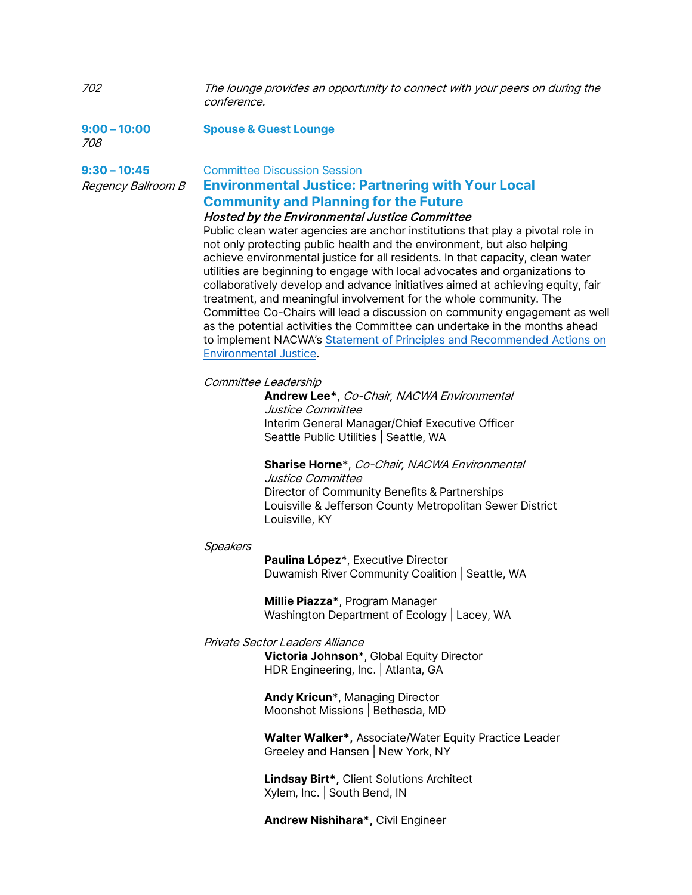702 The lounge provides an opportunity to connect with your peers on during the conference.

**9:00 – 10:00 Spouse & Guest Lounge** 708

## **9:30 – 10:45** Committee Discussion Session Regency Ballroom B **Environmental Justice: Partnering with Your Local Community and Planning for the Future**

## Hosted by the Environmental Justice Committee

Public clean water agencies are anchor institutions that play a pivotal role in not only protecting public health and the environment, but also helping achieve environmental justice for all residents. In that capacity, clean water utilities are beginning to engage with local advocates and organizations to collaboratively develop and advance initiatives aimed at achieving equity, fair treatment, and meaningful involvement for the whole community. The Committee Co-Chairs will lead a discussion on community engagement as well as the potential activities the Committee can undertake in the months ahead to implement NACWA's [Statement of Principles and Recommended A](https://www.nacwa.org/docs/default-source/resources---public/final---nacwa-ej-statement-of-principles-and-recommended-actions-37.pdf?sfvrsn=bd36fa61_2)ctions on Environmental Justice.

## Committee Leadership

**Andrew Lee\***, Co-Chair, NACWA Environmental Justice Committee Interim General Manager/Chief Executive Officer Seattle Public Utilities | Seattle, WA

**Sharise Horne**\*, Co-Chair, NACWA Environmental Justice Committee Director of Community Benefits & Partnerships Louisville & Jefferson County Metropolitan Sewer District

## **Speakers**

**Paulina López**\*, Executive Director Duwamish River Community Coalition | Seattle, WA

**Millie Piazza\***, Program Manager Washington Department of Ecology | Lacey, WA

## Private Sector Leaders Alliance

Louisville, KY

**Victoria Johnson**\*, Global Equity Director HDR Engineering, Inc. | Atlanta, GA

**Andy Kricun**\*, Managing Director Moonshot Missions | Bethesda, MD

**Walter Walker\*,** Associate/Water Equity Practice Leader Greeley and Hansen | New York, NY

**Lindsay Birt\*,** Client Solutions Architect Xylem, Inc. | South Bend, IN

**Andrew Nishihara\*,** Civil Engineer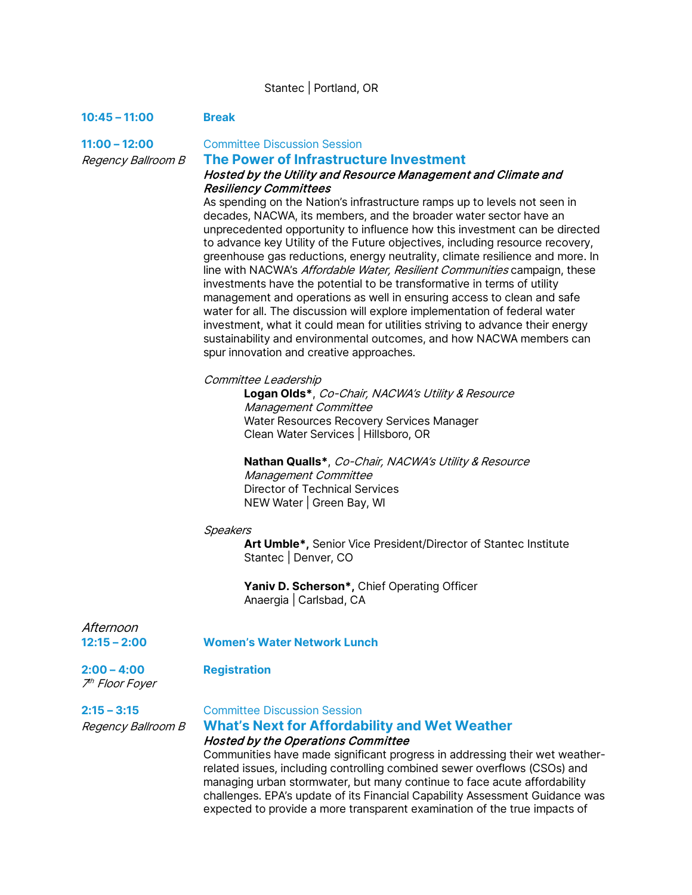## Stantec | Portland, OR

### **10:45 – 11:00 Break**

**11:00 – 12:00** Committee Discussion Session

#### Regency Ballroom B **The Power of Infrastructure Investment**

### Hosted by the Utility and Resource Management and Climate and Resiliency Committees

As spending on the Nation's infrastructure ramps up to levels not seen in decades, NACWA, its members, and the broader water sector have an unprecedented opportunity to influence how this investment can be directed to advance key Utility of the Future objectives, including resource recovery, greenhouse gas reductions, energy neutrality, climate resilience and more. In line with NACWA's Affordable Water, Resilient Communities campaign, these investments have the potential to be transformative in terms of utility management and operations as well in ensuring access to clean and safe water for all. The discussion will explore implementation of federal water investment, what it could mean for utilities striving to advance their energy sustainability and environmental outcomes, and how NACWA members can spur innovation and creative approaches.

#### Committee Leadership

**Logan Olds\***, Co-Chair, NACWA's Utility & Resource Management Committee Water Resources Recovery Services Manager Clean Water Services | Hillsboro, OR

**Nathan Qualls\***, Co-Chair, NACWA's Utility & Resource Management Committee Director of Technical Services NEW Water | Green Bay, WI

#### Speakers

**Art Umble\*,** Senior Vice President/Director of Stantec Institute Stantec | Denver, CO

**Yaniv D. Scherson\*,** Chief Operating Officer Anaergia | Carlsbad, CA

Afternoon

**12:15 – 2:00 Women's Water Network Lunch**

#### **2:00 – 4:00 Registration** 7th Floor Foyer

## **2:15 – 3:15** Committee Discussion Session

## Regency Ballroom B **What's Next for Affordability and Wet Weather**

## Hosted by the Operations Committee

Communities have made significant progress in addressing their wet weatherrelated issues, including controlling combined sewer overflows (CSOs) and managing urban stormwater, but many continue to face acute affordability challenges. EPA's update of its Financial Capability Assessment Guidance was expected to provide a more transparent examination of the true impacts of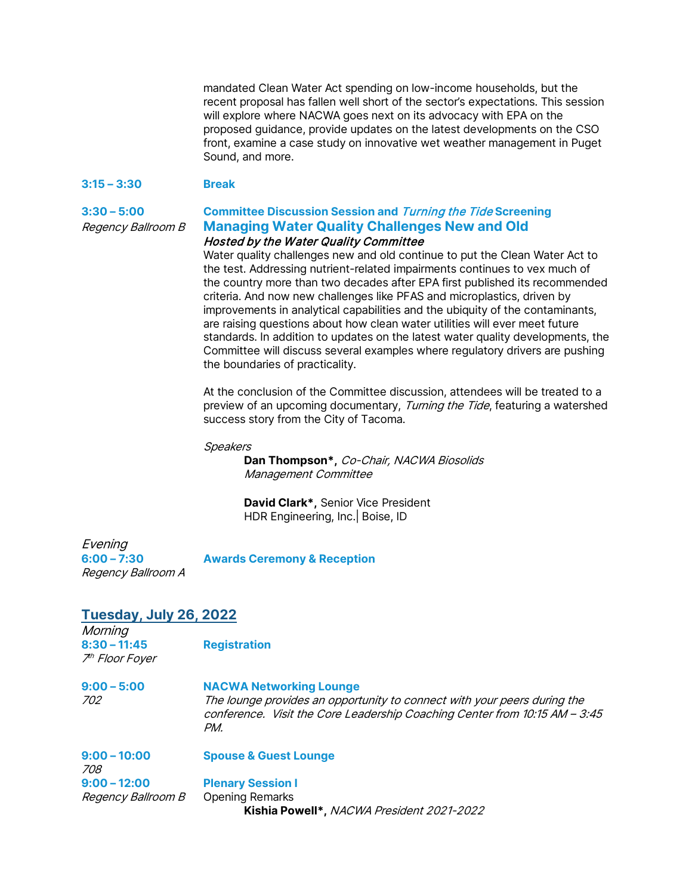mandated Clean Water Act spending on low-income households, but the recent proposal has fallen well short of the sector's expectations. This session will explore where NACWA goes next on its advocacy with EPA on the proposed guidance, provide updates on the latest developments on the CSO front, examine a case study on innovative wet weather management in Puget Sound, and more.

#### **3:15 – 3:30 Break**

## **3:30 – 5:00 Committee Discussion Session and** Turning the Tide **Screening** Regency Ballroom B **Managing Water Quality Challenges New and Old**

## Hosted by the Water Quality Committee

Water quality challenges new and old continue to put the Clean Water Act to the test. Addressing nutrient-related impairments continues to vex much of the country more than two decades after EPA first published its recommended criteria. And now new challenges like PFAS and microplastics, driven by improvements in analytical capabilities and the ubiquity of the contaminants, are raising questions about how clean water utilities will ever meet future standards. In addition to updates on the latest water quality developments, the Committee will discuss several examples where regulatory drivers are pushing the boundaries of practicality.

At the conclusion of the Committee discussion, attendees will be treated to a preview of an upcoming documentary, Turning the Tide, featuring a watershed success story from the City of Tacoma.

#### **Speakers**

**Dan Thompson\*,** Co-Chair, NACWA Biosolids Management Committee

**David Clark\*,** Senior Vice President HDR Engineering, Inc.| Boise, ID

Evening Regency Ballroom A

**6:00 – 7:30 Awards Ceremony & Reception**

## **Tuesday, July 26, 2022**

**Morning 8:30 – 11:45 Registration** 7th Floor Foyer

| $9:00 - 5:00$ | <b>NACWA Networking Lounge</b>                                                                                                                         |  |
|---------------|--------------------------------------------------------------------------------------------------------------------------------------------------------|--|
| <i>702</i>    | The lounge provides an opportunity to connect with your peers during the<br>conference. Visit the Core Leadership Coaching Center from 10:15 AM – 3:45 |  |
|               | PM.                                                                                                                                                    |  |

| $9:00 - 10:00$<br>708     | <b>Spouse &amp; Guest Lounge</b>          |
|---------------------------|-------------------------------------------|
| $9:00 - 12:00$            | <b>Plenary Session I</b>                  |
| <i>Regency Ballroom B</i> | <b>Opening Remarks</b>                    |
|                           | Kishia Powell*, NACWA President 2021-2022 |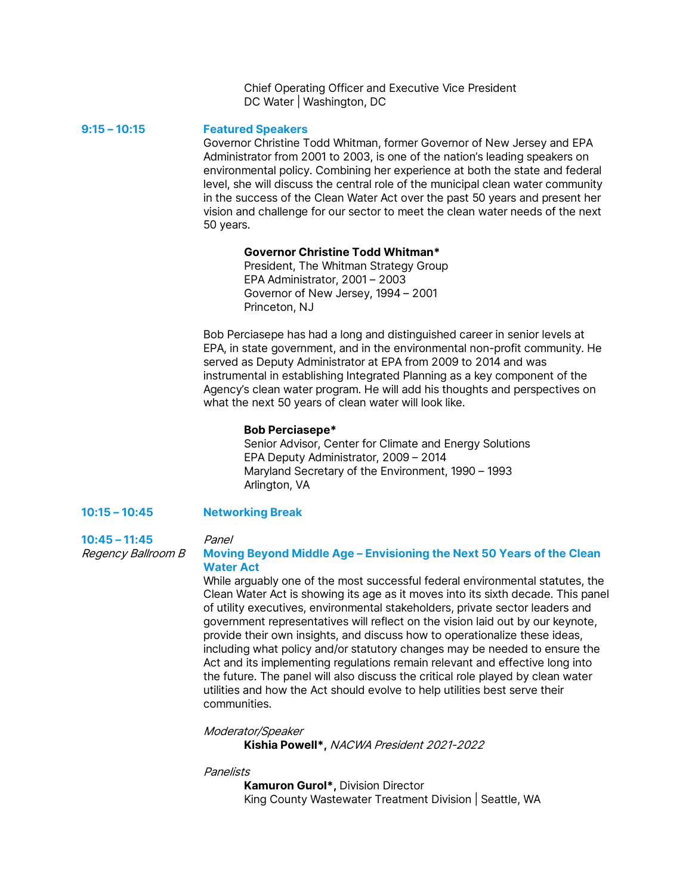Chief Operating Officer and Executive Vice President DC Water | Washington, DC

**9:15 – 10:15 Featured Speakers**

Governor Christine Todd Whitman, former Governor of New Jersey and EPA Administrator from 2001 to 2003, is one of the nation's leading speakers on environmental policy. Combining her experience at both the state and federal level, she will discuss the central role of the municipal clean water community in the success of the Clean Water Act over the past 50 years and present her vision and challenge for our sector to meet the clean water needs of the next 50 years.

## **Governor Christine Todd Whitman\***

President, The Whitman Strategy Group EPA Administrator, 2001 – 2003 Governor of New Jersey, 1994 – 2001 Princeton, NJ

Bob Perciasepe has had a long and distinguished career in senior levels at EPA, in state government, and in the environmental non-profit community. He served as Deputy Administrator at EPA from 2009 to 2014 and was instrumental in establishing Integrated Planning as a key component of the Agency's clean water program. He will add his thoughts and perspectives on what the next 50 years of clean water will look like.

#### **Bob Perciasepe\***

Senior Advisor, Center for Climate and Energy Solutions EPA Deputy Administrator, 2009 – 2014 Maryland Secretary of the Environment, 1990 – 1993 Arlington, VA

## **10:15 – 10:45 Networking Break**

**10:45 – 11:45** Panel

## Regency Ballroom B **Moving Beyond Middle Age – Envisioning the Next 50 Years of the Clean Water Act**

While arguably one of the most successful federal environmental statutes, the Clean Water Act is showing its age as it moves into its sixth decade. This panel of utility executives, environmental stakeholders, private sector leaders and government representatives will reflect on the vision laid out by our keynote, provide their own insights, and discuss how to operationalize these ideas, including what policy and/or statutory changes may be needed to ensure the Act and its implementing regulations remain relevant and effective long into the future. The panel will also discuss the critical role played by clean water utilities and how the Act should evolve to help utilities best serve their communities.

Moderator/Speaker

**Kishia Powell\*,** NACWA President 2021-2022

#### **Panelists**

**Kamuron Gurol\*,** Division Director King County Wastewater Treatment Division | Seattle, WA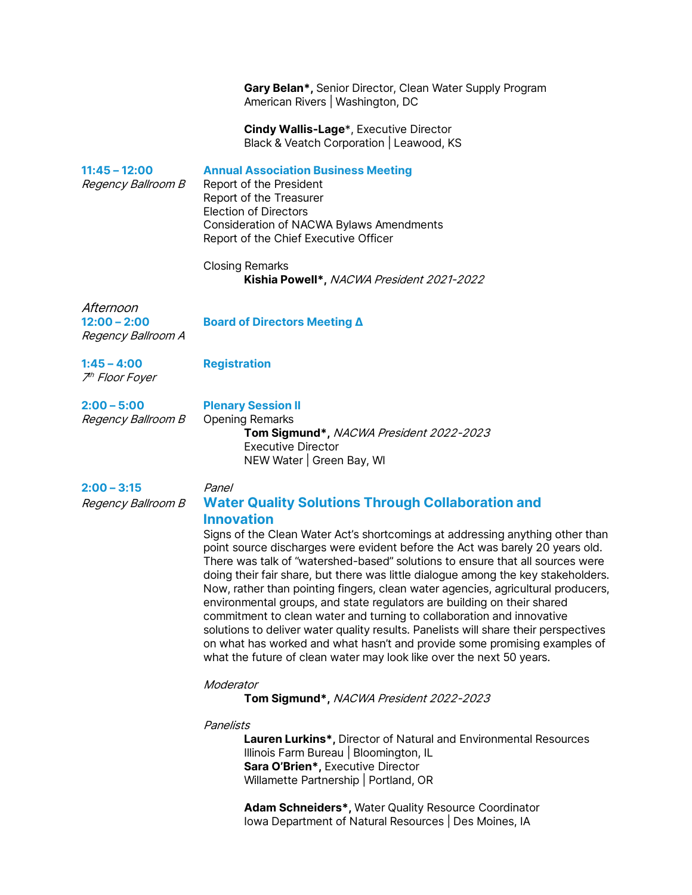**Gary Belan\*,** Senior Director, Clean Water Supply Program American Rivers | Washington, DC

**Cindy Wallis-Lage**\*, Executive Director Black & Veatch Corporation | Leawood, KS

**11:45 – 12:00 Annual Association Business Meeting**  Regency Ballroom B Report of the President Report of the Treasurer Election of Directors Consideration of NACWA Bylaws Amendments Report of the Chief Executive Officer Closing Remarks **Kishia Powell\*,** NACWA President 2021-2022 Afternoon **12:00 – 2:00 Board of Directors Meeting Δ** Regency Ballroom A **1:45 – 4:00 Registration** 7th Floor Foyer **2:00 – 5:00 Plenary Session II** Regency Ballroom B Opening Remarks **Tom Sigmund\*,** NACWA President 2022-2023 Executive Director NEW Water | Green Bay, WI

## **2:00 – 3:15** Panel

## Regency Ballroom B **Water Quality Solutions Through Collaboration and Innovation**

Signs of the Clean Water Act's shortcomings at addressing anything other than point source discharges were evident before the Act was barely 20 years old. There was talk of "watershed-based" solutions to ensure that all sources were doing their fair share, but there was little dialogue among the key stakeholders. Now, rather than pointing fingers, clean water agencies, agricultural producers, environmental groups, and state regulators are building on their shared commitment to clean water and turning to collaboration and innovative solutions to deliver water quality results. Panelists will share their perspectives on what has worked and what hasn't and provide some promising examples of what the future of clean water may look like over the next 50 years.

#### Moderator

**Tom Sigmund\*,** NACWA President 2022-2023

#### Panelists

**Lauren Lurkins\*,** Director of Natural and Environmental Resources Illinois Farm Bureau | Bloomington, IL **Sara O'Brien\*,** Executive Director Willamette Partnership | Portland, OR

**Adam Schneiders\*,** Water Quality Resource Coordinator Iowa Department of Natural Resources | Des Moines, IA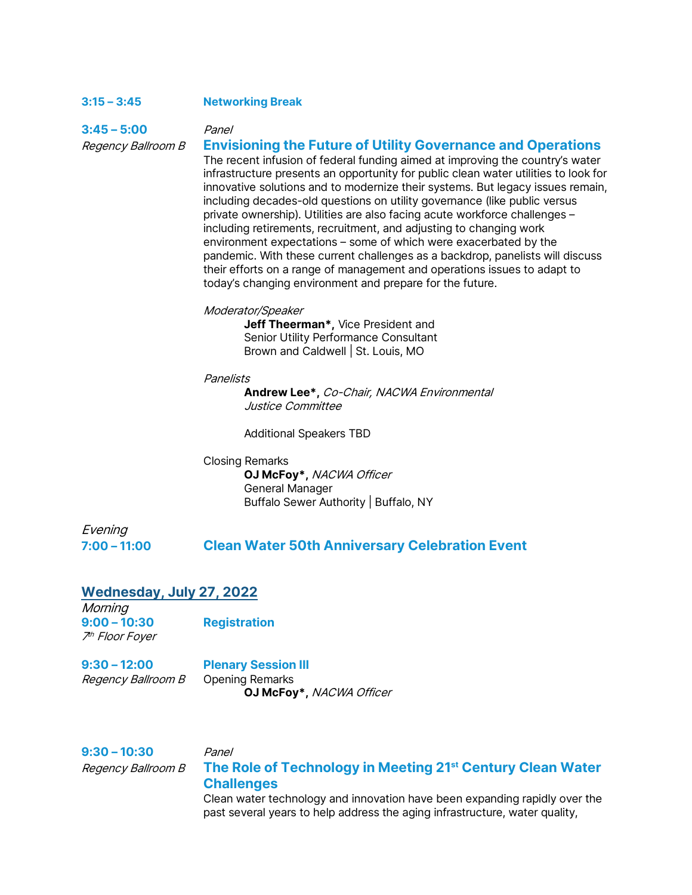## **3:15 – 3:45 Networking Break**

**3:45 – 5:00** Panel

## Regency Ballroom B **Envisioning the Future of Utility Governance and Operations**

The recent infusion of federal funding aimed at improving the country's water infrastructure presents an opportunity for public clean water utilities to look for innovative solutions and to modernize their systems. But legacy issues remain, including decades-old questions on utility governance (like public versus private ownership). Utilities are also facing acute workforce challenges – including retirements, recruitment, and adjusting to changing work environment expectations – some of which were exacerbated by the pandemic. With these current challenges as a backdrop, panelists will discuss their efforts on a range of management and operations issues to adapt to today's changing environment and prepare for the future.

## Moderator/Speaker

**Jeff Theerman\*,** Vice President and Senior Utility Performance Consultant Brown and Caldwell | St. Louis, MO

#### **Panelists**

**Andrew Lee\*,** Co-Chair, NACWA Environmental Justice Committee

Additional Speakers TBD

Closing Remarks **OJ McFoy\*,** NACWA Officer General Manager Buffalo Sewer Authority | Buffalo, NY

# Evening

## **7:00 – 11:00 Clean Water 50th Anniversary Celebration Event**

## **Wednesday, July 27, 2022**

**Morning 9:00 – 10:30 Registration** 7th Floor Foyer

**9:30 – 12:00 Plenary Session III** Regency Ballroom B Opening Remarks **OJ McFoy\*,** NACWA Officer

## **9:30 – 10:30** Panel Regency Ballroom B **The Role of Technology in Meeting 21st Century Clean Water Challenges** Clean water technology and innovation have been expanding rapidly over the past several years to help address the aging infrastructure, water quality,